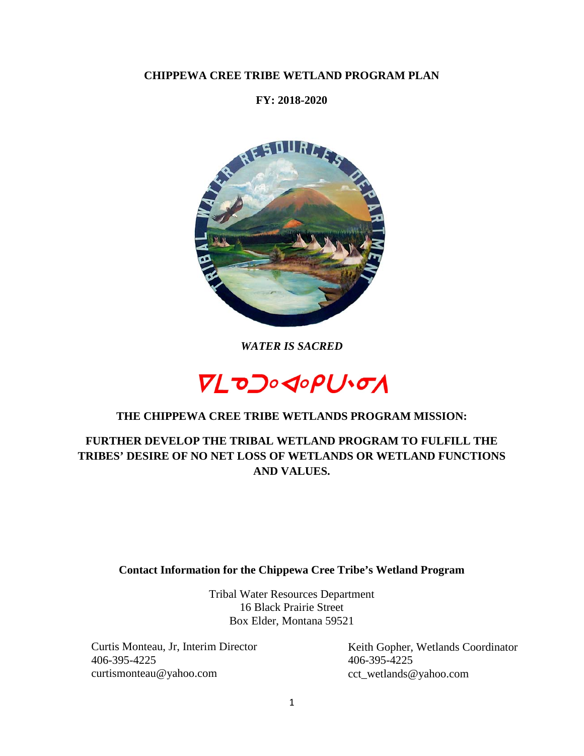## **CHIPPEWA CREE TRIBE WETLAND PROGRAM PLAN**

## **FY: 2018-2020**



*WATER IS SACRED*



## **THE CHIPPEWA CREE TRIBE WETLANDS PROGRAM MISSION:**

**FURTHER DEVELOP THE TRIBAL WETLAND PROGRAM TO FULFILL THE TRIBES' DESIRE OF NO NET LOSS OF WETLANDS OR WETLAND FUNCTIONS AND VALUES.**

#### **Contact Information for the Chippewa Cree Tribe's Wetland Program**

Tribal Water Resources Department 16 Black Prairie Street Box Elder, Montana 59521

Curtis Monteau, Jr, Interim Director 406-395-4225 curtismonteau@yahoo.com

Keith Gopher, Wetlands Coordinator 406-395-4225 cct\_wetlands@yahoo.com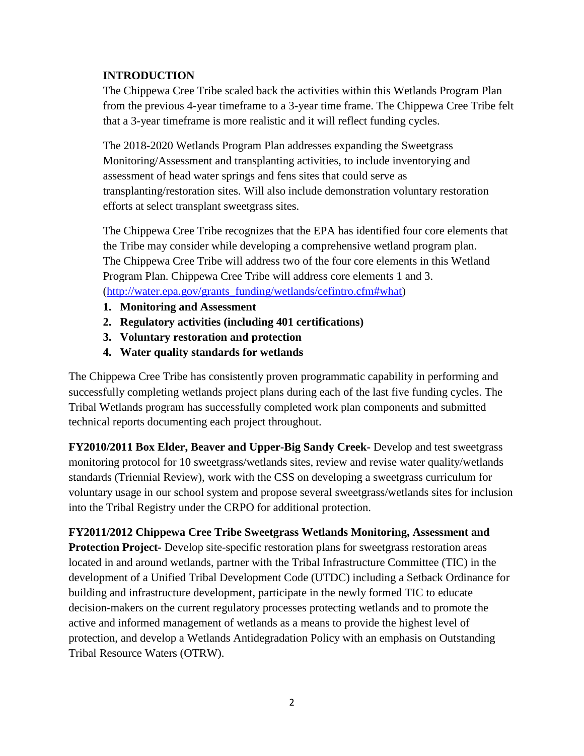## **INTRODUCTION**

The Chippewa Cree Tribe scaled back the activities within this Wetlands Program Plan from the previous 4-year timeframe to a 3-year time frame. The Chippewa Cree Tribe felt that a 3-year timeframe is more realistic and it will reflect funding cycles.

The 2018-2020 Wetlands Program Plan addresses expanding the Sweetgrass Monitoring/Assessment and transplanting activities, to include inventorying and assessment of head water springs and fens sites that could serve as transplanting/restoration sites. Will also include demonstration voluntary restoration efforts at select transplant sweetgrass sites.

The Chippewa Cree Tribe recognizes that the EPA has identified four core elements that the Tribe may consider while developing a comprehensive wetland program plan. The Chippewa Cree Tribe will address two of the four core elements in this Wetland Program Plan. Chippewa Cree Tribe will address core elements 1 and 3. [\(http://water.epa.gov/grants\\_funding/wetlands/cefintro.cfm#what\)](http://water.epa.gov/grants_funding/wetlands/cefintro.cfm#what)

- **1. Monitoring and Assessment**
- **2. Regulatory activities (including 401 certifications)**
- **3. Voluntary restoration and protection**
- **4. Water quality standards for wetlands**

The Chippewa Cree Tribe has consistently proven programmatic capability in performing and successfully completing wetlands project plans during each of the last five funding cycles. The Tribal Wetlands program has successfully completed work plan components and submitted technical reports documenting each project throughout.

**FY2010/2011 Box Elder, Beaver and Upper-Big Sandy Creek-** Develop and test sweetgrass monitoring protocol for 10 sweetgrass/wetlands sites, review and revise water quality/wetlands standards (Triennial Review), work with the CSS on developing a sweetgrass curriculum for voluntary usage in our school system and propose several sweetgrass/wetlands sites for inclusion into the Tribal Registry under the CRPO for additional protection.

**FY2011/2012 Chippewa Cree Tribe Sweetgrass Wetlands Monitoring, Assessment and Protection Project-** Develop site-specific restoration plans for sweetgrass restoration areas located in and around wetlands, partner with the Tribal Infrastructure Committee (TIC) in the development of a Unified Tribal Development Code (UTDC) including a Setback Ordinance for building and infrastructure development, participate in the newly formed TIC to educate decision-makers on the current regulatory processes protecting wetlands and to promote the active and informed management of wetlands as a means to provide the highest level of protection, and develop a Wetlands Antidegradation Policy with an emphasis on Outstanding Tribal Resource Waters (OTRW).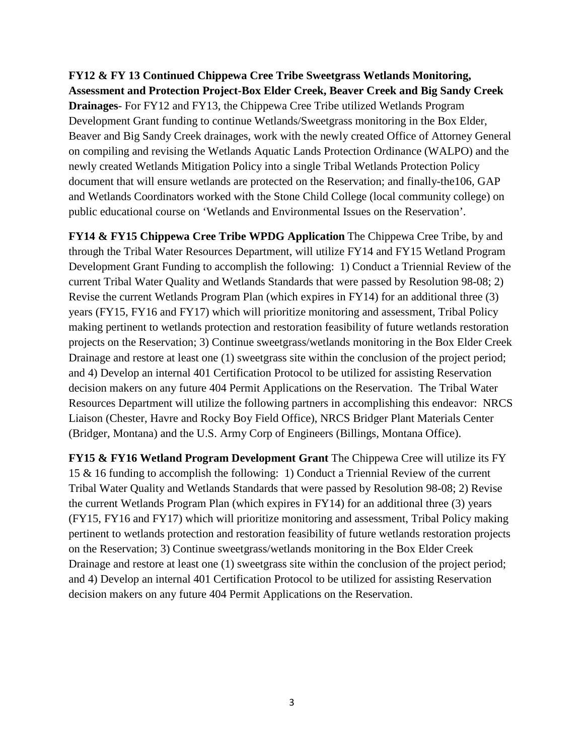**FY12 & FY 13 Continued Chippewa Cree Tribe Sweetgrass Wetlands Monitoring, Assessment and Protection Project-Box Elder Creek, Beaver Creek and Big Sandy Creek Drainages**- For FY12 and FY13, the Chippewa Cree Tribe utilized Wetlands Program Development Grant funding to continue Wetlands/Sweetgrass monitoring in the Box Elder, Beaver and Big Sandy Creek drainages, work with the newly created Office of Attorney General on compiling and revising the Wetlands Aquatic Lands Protection Ordinance (WALPO) and the newly created Wetlands Mitigation Policy into a single Tribal Wetlands Protection Policy document that will ensure wetlands are protected on the Reservation; and finally-the106, GAP and Wetlands Coordinators worked with the Stone Child College (local community college) on public educational course on 'Wetlands and Environmental Issues on the Reservation'.

**FY14 & FY15 Chippewa Cree Tribe WPDG Application** The Chippewa Cree Tribe, by and through the Tribal Water Resources Department, will utilize FY14 and FY15 Wetland Program Development Grant Funding to accomplish the following: 1) Conduct a Triennial Review of the current Tribal Water Quality and Wetlands Standards that were passed by Resolution 98-08; 2) Revise the current Wetlands Program Plan (which expires in FY14) for an additional three (3) years (FY15, FY16 and FY17) which will prioritize monitoring and assessment, Tribal Policy making pertinent to wetlands protection and restoration feasibility of future wetlands restoration projects on the Reservation; 3) Continue sweetgrass/wetlands monitoring in the Box Elder Creek Drainage and restore at least one (1) sweetgrass site within the conclusion of the project period; and 4) Develop an internal 401 Certification Protocol to be utilized for assisting Reservation decision makers on any future 404 Permit Applications on the Reservation. The Tribal Water Resources Department will utilize the following partners in accomplishing this endeavor: NRCS Liaison (Chester, Havre and Rocky Boy Field Office), NRCS Bridger Plant Materials Center (Bridger, Montana) and the U.S. Army Corp of Engineers (Billings, Montana Office).

**FY15 & FY16 Wetland Program Development Grant** The Chippewa Cree will utilize its FY 15 & 16 funding to accomplish the following: 1) Conduct a Triennial Review of the current Tribal Water Quality and Wetlands Standards that were passed by Resolution 98-08; 2) Revise the current Wetlands Program Plan (which expires in FY14) for an additional three (3) years (FY15, FY16 and FY17) which will prioritize monitoring and assessment, Tribal Policy making pertinent to wetlands protection and restoration feasibility of future wetlands restoration projects on the Reservation; 3) Continue sweetgrass/wetlands monitoring in the Box Elder Creek Drainage and restore at least one (1) sweetgrass site within the conclusion of the project period; and 4) Develop an internal 401 Certification Protocol to be utilized for assisting Reservation decision makers on any future 404 Permit Applications on the Reservation.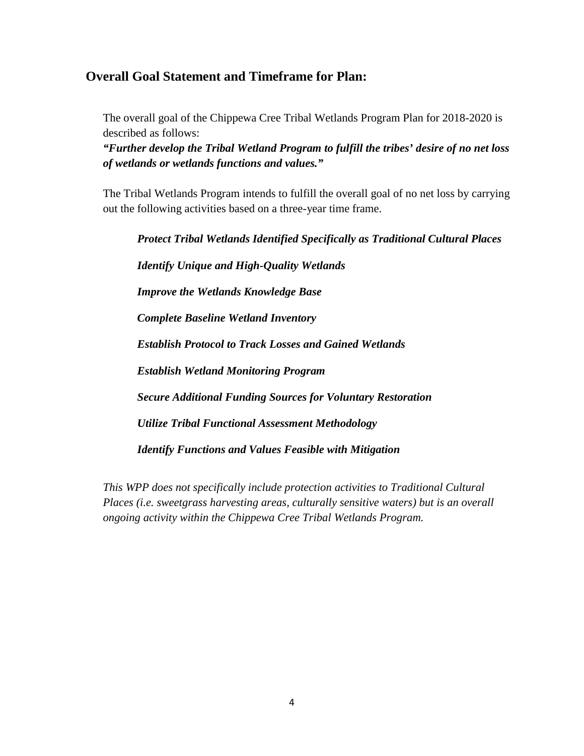# **Overall Goal Statement and Timeframe for Plan:**

The overall goal of the Chippewa Cree Tribal Wetlands Program Plan for 2018-2020 is described as follows:

*"Further develop the Tribal Wetland Program to fulfill the tribes' desire of no net loss of wetlands or wetlands functions and values."*

The Tribal Wetlands Program intends to fulfill the overall goal of no net loss by carrying out the following activities based on a three-year time frame.

*Protect Tribal Wetlands Identified Specifically as Traditional Cultural Places Identify Unique and High-Quality Wetlands Improve the Wetlands Knowledge Base Complete Baseline Wetland Inventory Establish Protocol to Track Losses and Gained Wetlands Establish Wetland Monitoring Program Secure Additional Funding Sources for Voluntary Restoration Utilize Tribal Functional Assessment Methodology Identify Functions and Values Feasible with Mitigation*

*This WPP does not specifically include protection activities to Traditional Cultural Places (i.e. sweetgrass harvesting areas, culturally sensitive waters) but is an overall ongoing activity within the Chippewa Cree Tribal Wetlands Program.*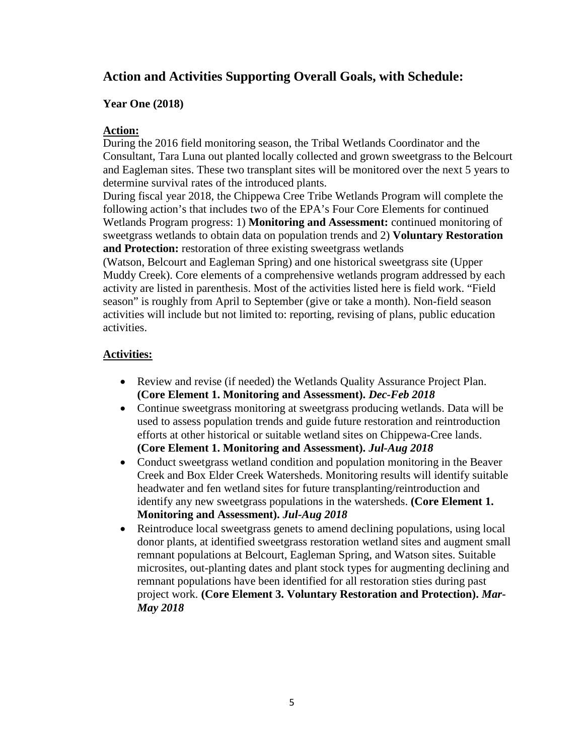# **Action and Activities Supporting Overall Goals, with Schedule:**

#### **Year One (2018)**

#### **Action:**

During the 2016 field monitoring season, the Tribal Wetlands Coordinator and the Consultant, Tara Luna out planted locally collected and grown sweetgrass to the Belcourt and Eagleman sites. These two transplant sites will be monitored over the next 5 years to determine survival rates of the introduced plants.

During fiscal year 2018, the Chippewa Cree Tribe Wetlands Program will complete the following action's that includes two of the EPA's Four Core Elements for continued Wetlands Program progress: 1) **Monitoring and Assessment:** continued monitoring of sweetgrass wetlands to obtain data on population trends and 2) **Voluntary Restoration and Protection:** restoration of three existing sweetgrass wetlands

(Watson, Belcourt and Eagleman Spring) and one historical sweetgrass site (Upper Muddy Creek). Core elements of a comprehensive wetlands program addressed by each activity are listed in parenthesis. Most of the activities listed here is field work. "Field season" is roughly from April to September (give or take a month). Non-field season activities will include but not limited to: reporting, revising of plans, public education activities.

### **Activities:**

- Review and revise (if needed) the Wetlands Quality Assurance Project Plan. **(Core Element 1. Monitoring and Assessment).** *Dec-Feb 2018*
- Continue sweetgrass monitoring at sweetgrass producing wetlands. Data will be used to assess population trends and guide future restoration and reintroduction efforts at other historical or suitable wetland sites on Chippewa-Cree lands. **(Core Element 1. Monitoring and Assessment).** *Jul-Aug 2018*
- Conduct sweetgrass wetland condition and population monitoring in the Beaver Creek and Box Elder Creek Watersheds. Monitoring results will identify suitable headwater and fen wetland sites for future transplanting/reintroduction and identify any new sweetgrass populations in the watersheds. **(Core Element 1. Monitoring and Assessment).** *Jul-Aug 2018*
- Reintroduce local sweetgrass genets to amend declining populations, using local donor plants, at identified sweetgrass restoration wetland sites and augment small remnant populations at Belcourt, Eagleman Spring, and Watson sites. Suitable microsites, out-planting dates and plant stock types for augmenting declining and remnant populations have been identified for all restoration sties during past project work. **(Core Element 3. Voluntary Restoration and Protection).** *Mar-May 2018*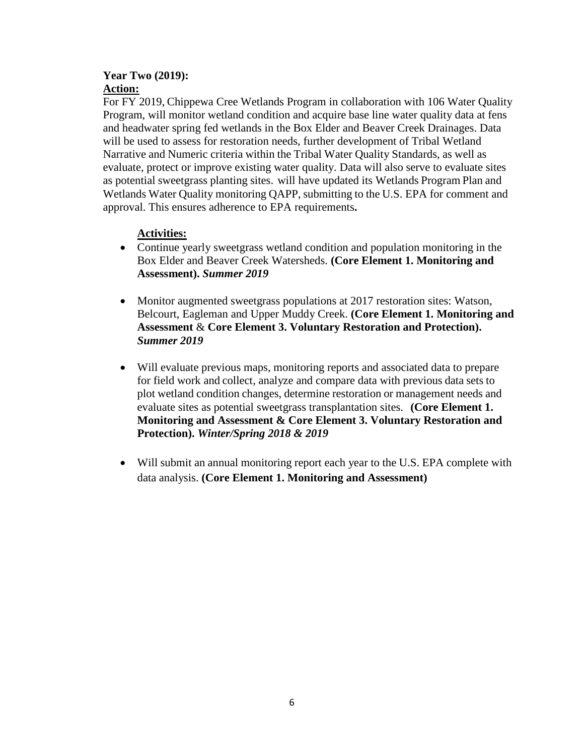#### **Year Two (2019): Action:**

For FY 2019, Chippewa Cree Wetlands Program in collaboration with 106 Water Quality Program, will monitor wetland condition and acquire base line water quality data at fens and headwater spring fed wetlands in the Box Elder and Beaver Creek Drainages. Data will be used to assess for restoration needs, further development of Tribal Wetland Narrative and Numeric criteria within the Tribal Water Quality Standards, as well as evaluate, protect or improve existing water quality. Data will also serve to evaluate sites as potential sweetgrass planting sites. will have updated its Wetlands Program Plan and Wetlands Water Quality monitoring QAPP, submitting to the U.S. EPA for comment and approval. This ensures adherence to EPA requirements**.** 

## **Activities:**

- Continue yearly sweetgrass wetland condition and population monitoring in the Box Elder and Beaver Creek Watersheds. **(Core Element 1. Monitoring and Assessment).** *Summer 2019*
- Monitor augmented sweetgrass populations at 2017 restoration sites: Watson, Belcourt, Eagleman and Upper Muddy Creek. **(Core Element 1. Monitoring and Assessment** & **Core Element 3. Voluntary Restoration and Protection).** *Summer 2019*
- Will evaluate previous maps, monitoring reports and associated data to prepare for field work and collect, analyze and compare data with previous data sets to plot wetland condition changes, determine restoration or management needs and evaluate sites as potential sweetgrass transplantation sites. **(Core Element 1. Monitoring and Assessment & Core Element 3. Voluntary Restoration and Protection).** *Winter/Spring 2018 & 2019*
- Will submit an annual monitoring report each year to the U.S. EPA complete with data analysis. **(Core Element 1. Monitoring and Assessment)**